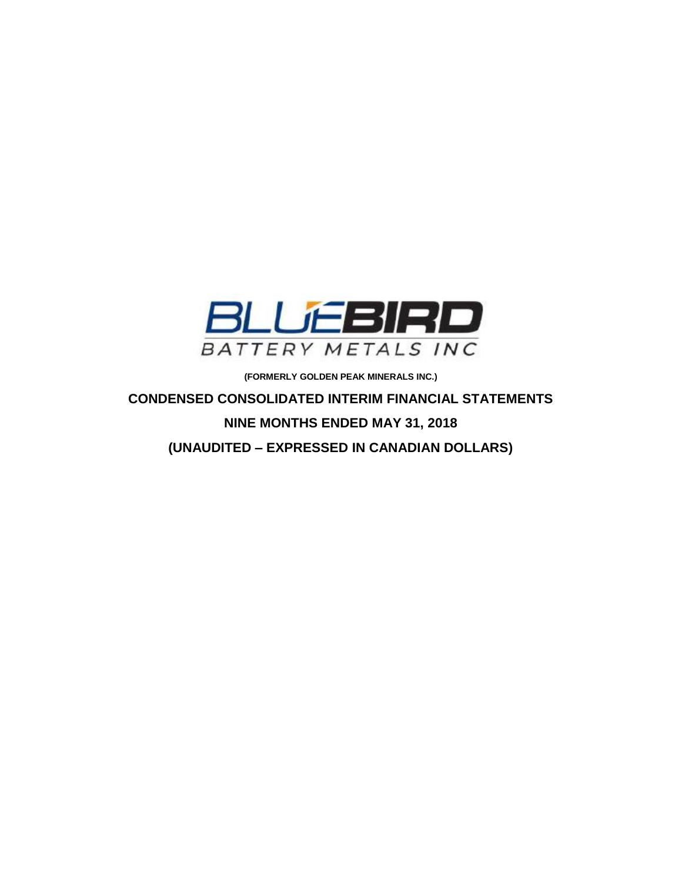

**(FORMERLY GOLDEN PEAK MINERALS INC.)**

**CONDENSED CONSOLIDATED INTERIM FINANCIAL STATEMENTS NINE MONTHS ENDED MAY 31, 2018 (UNAUDITED – EXPRESSED IN CANADIAN DOLLARS)**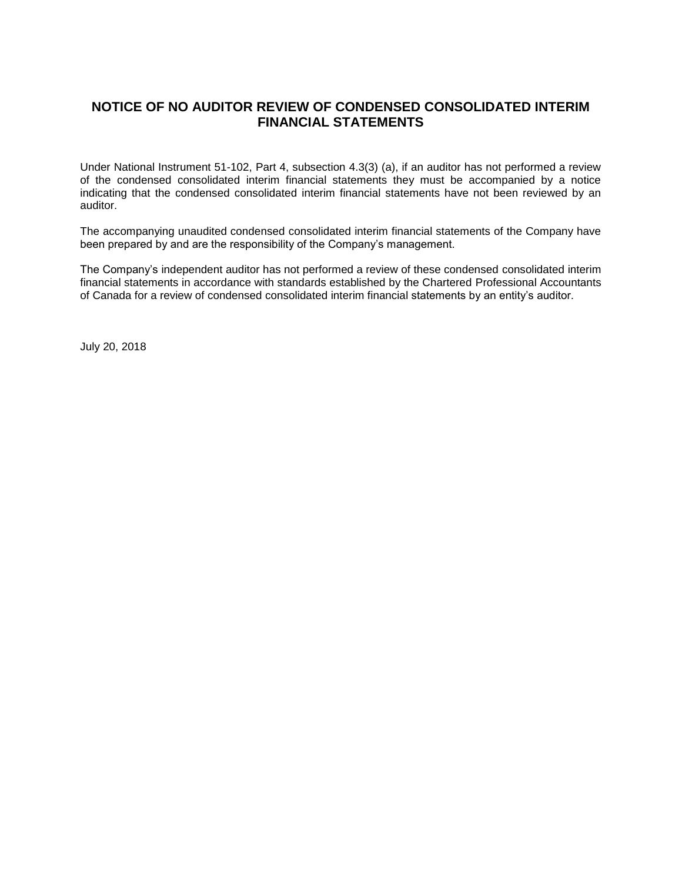# **NOTICE OF NO AUDITOR REVIEW OF CONDENSED CONSOLIDATED INTERIM FINANCIAL STATEMENTS**

Under National Instrument 51-102, Part 4, subsection 4.3(3) (a), if an auditor has not performed a review of the condensed consolidated interim financial statements they must be accompanied by a notice indicating that the condensed consolidated interim financial statements have not been reviewed by an auditor.

The accompanying unaudited condensed consolidated interim financial statements of the Company have been prepared by and are the responsibility of the Company's management.

The Company's independent auditor has not performed a review of these condensed consolidated interim financial statements in accordance with standards established by the Chartered Professional Accountants of Canada for a review of condensed consolidated interim financial statements by an entity's auditor.

July 20, 2018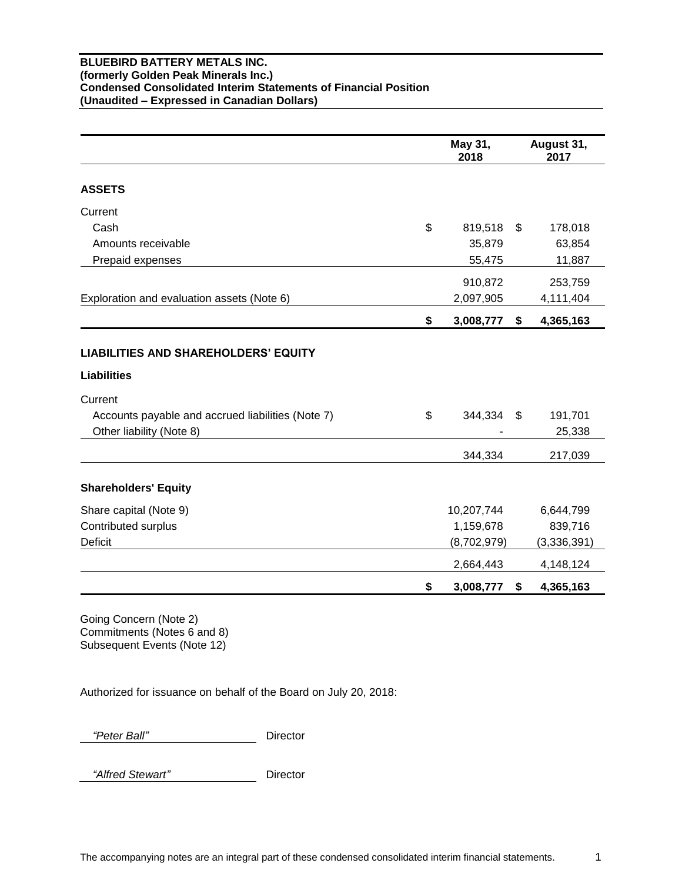## **BLUEBIRD BATTERY METALS INC. (formerly Golden Peak Minerals Inc.) Condensed Consolidated Interim Statements of Financial Position (Unaudited – Expressed in Canadian Dollars)**

|                                                                                    | May 31,<br>2018 | August 31,<br>2017 |
|------------------------------------------------------------------------------------|-----------------|--------------------|
| <b>ASSETS</b>                                                                      |                 |                    |
| Current                                                                            |                 |                    |
| Cash                                                                               | \$<br>819,518   | \$<br>178,018      |
| Amounts receivable                                                                 | 35,879          | 63,854             |
| Prepaid expenses                                                                   | 55,475          | 11,887             |
|                                                                                    | 910,872         | 253,759            |
| Exploration and evaluation assets (Note 6)                                         | 2,097,905       | 4,111,404          |
|                                                                                    | \$<br>3,008,777 | \$<br>4,365,163    |
| <b>Liabilities</b><br>Current<br>Accounts payable and accrued liabilities (Note 7) | \$<br>344,334   | \$<br>191,701      |
| Other liability (Note 8)                                                           |                 | 25,338             |
|                                                                                    | 344,334         | 217,039            |
| <b>Shareholders' Equity</b>                                                        |                 |                    |
| Share capital (Note 9)                                                             | 10,207,744      | 6,644,799          |
| Contributed surplus                                                                | 1,159,678       | 839,716            |
| Deficit                                                                            | (8,702,979)     | (3,336,391)        |
|                                                                                    | 2,664,443       | 4,148,124          |
|                                                                                    | \$<br>3,008,777 | \$<br>4,365,163    |

Going Concern (Note 2) Commitments (Notes 6 and 8) Subsequent Events (Note 12)

Authorized for issuance on behalf of the Board on July 20, 2018:

 *"Peter Ball"* Director

 *"Alfred Stewart"* Director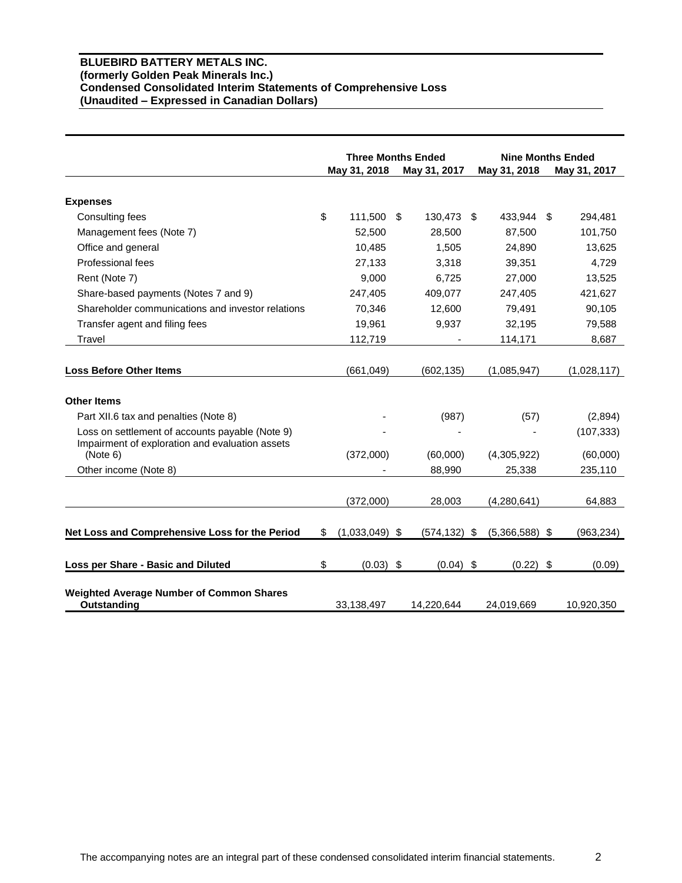## **BLUEBIRD BATTERY METALS INC. (formerly Golden Peak Minerals Inc.) Condensed Consolidated Interim Statements of Comprehensive Loss (Unaudited – Expressed in Canadian Dollars)**

|                                                   | <b>Three Months Ended</b> |                  | <b>Nine Months Ended</b> |                  |               |
|---------------------------------------------------|---------------------------|------------------|--------------------------|------------------|---------------|
|                                                   |                           | May 31, 2018     | May 31, 2017             | May 31, 2018     | May 31, 2017  |
|                                                   |                           |                  |                          |                  |               |
| <b>Expenses</b>                                   |                           |                  |                          |                  |               |
| Consulting fees                                   | \$                        | 111,500          | \$<br>130,473            | \$<br>433,944    | \$<br>294,481 |
| Management fees (Note 7)                          |                           | 52,500           | 28,500                   | 87,500           | 101,750       |
| Office and general                                |                           | 10,485           | 1,505                    | 24,890           | 13,625        |
| Professional fees                                 |                           | 27.133           | 3,318                    | 39,351           | 4,729         |
| Rent (Note 7)                                     |                           | 9,000            | 6,725                    | 27,000           | 13,525        |
| Share-based payments (Notes 7 and 9)              |                           | 247,405          | 409,077                  | 247,405          | 421,627       |
| Shareholder communications and investor relations |                           | 70,346           | 12,600                   | 79,491           | 90,105        |
| Transfer agent and filing fees                    |                           | 19,961           | 9,937                    | 32,195           | 79,588        |
| Travel                                            |                           | 112,719          |                          | 114,171          | 8,687         |
|                                                   |                           |                  |                          |                  |               |
| <b>Loss Before Other Items</b>                    |                           | (661, 049)       | (602, 135)               | (1,085,947)      | (1,028,117)   |
|                                                   |                           |                  |                          |                  |               |
| <b>Other Items</b>                                |                           |                  |                          |                  |               |
| Part XII.6 tax and penalties (Note 8)             |                           |                  | (987)                    | (57)             | (2,894)       |
| Loss on settlement of accounts payable (Note 9)   |                           |                  |                          |                  | (107, 333)    |
| Impairment of exploration and evaluation assets   |                           |                  |                          |                  |               |
| (Note 6)                                          |                           | (372,000)        | (60,000)                 | (4,305,922)      | (60,000)      |
| Other income (Note 8)                             |                           |                  | 88,990                   | 25,338           | 235,110       |
|                                                   |                           |                  |                          |                  |               |
|                                                   |                           | (372,000)        | 28,003                   | (4,280,641)      | 64,883        |
| Net Loss and Comprehensive Loss for the Period    | \$                        | $(1,033,049)$ \$ | $(574, 132)$ \$          | $(5,366,588)$ \$ | (963, 234)    |
|                                                   |                           |                  |                          |                  |               |
| Loss per Share - Basic and Diluted                | \$                        | $(0.03)$ \$      | $(0.04)$ \$              | (0.22)           | \$<br>(0.09)  |
|                                                   |                           |                  |                          |                  |               |
| <b>Weighted Average Number of Common Shares</b>   |                           |                  |                          |                  |               |
| Outstanding                                       |                           | 33,138,497       | 14,220,644               | 24,019,669       | 10,920,350    |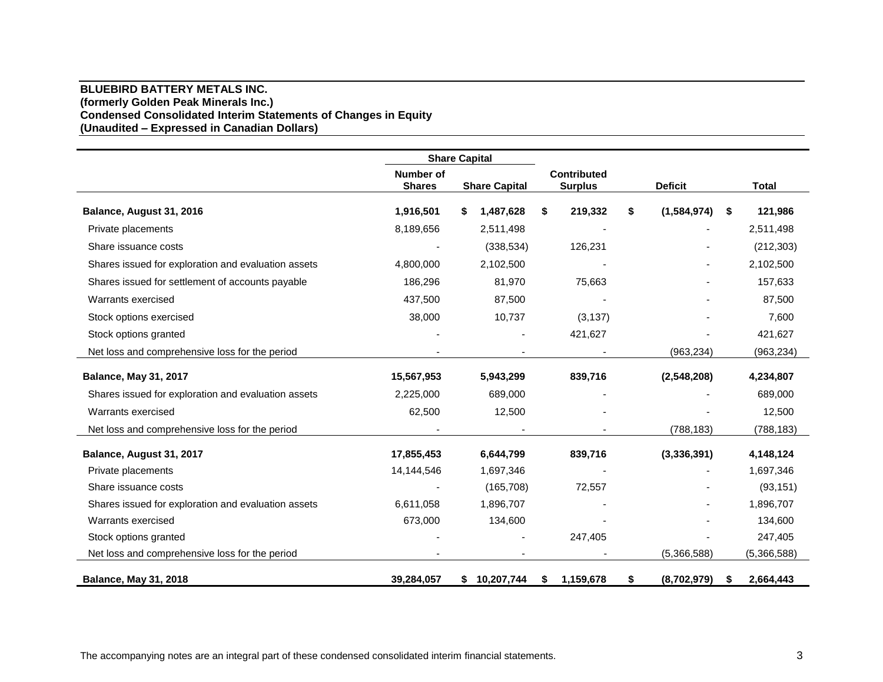## **BLUEBIRD BATTERY METALS INC. (formerly Golden Peak Minerals Inc.) Condensed Consolidated Interim Statements of Changes in Equity (Unaudited – Expressed in Canadian Dollars)**

|                                                     | <b>Share Capital</b>              |                      |                                      |                   |                 |
|-----------------------------------------------------|-----------------------------------|----------------------|--------------------------------------|-------------------|-----------------|
|                                                     | <b>Number of</b><br><b>Shares</b> | <b>Share Capital</b> | <b>Contributed</b><br><b>Surplus</b> | <b>Deficit</b>    | <b>Total</b>    |
| Balance, August 31, 2016                            | 1,916,501                         | 1,487,628<br>S       | \$<br>219,332                        | (1,584,974)<br>S  | 121,986<br>- \$ |
| Private placements                                  | 8,189,656                         | 2,511,498            |                                      |                   | 2,511,498       |
| Share issuance costs                                |                                   | (338, 534)           | 126,231                              |                   | (212, 303)      |
| Shares issued for exploration and evaluation assets | 4,800,000                         | 2,102,500            |                                      |                   | 2,102,500       |
| Shares issued for settlement of accounts payable    | 186,296                           | 81,970               | 75,663                               |                   | 157,633         |
| Warrants exercised                                  | 437,500                           | 87,500               |                                      |                   | 87,500          |
| Stock options exercised                             | 38,000                            | 10,737               | (3, 137)                             |                   | 7,600           |
| Stock options granted                               |                                   |                      | 421,627                              |                   | 421,627         |
| Net loss and comprehensive loss for the period      |                                   |                      |                                      | (963, 234)        | (963, 234)      |
| <b>Balance, May 31, 2017</b>                        | 15,567,953                        | 5,943,299            | 839,716                              | (2,548,208)       | 4,234,807       |
| Shares issued for exploration and evaluation assets | 2,225,000                         | 689,000              |                                      |                   | 689,000         |
| Warrants exercised                                  | 62,500                            | 12,500               |                                      |                   | 12,500          |
| Net loss and comprehensive loss for the period      |                                   |                      |                                      | (788, 183)        | (788, 183)      |
| Balance, August 31, 2017                            | 17,855,453                        | 6,644,799            | 839,716                              | (3,336,391)       | 4,148,124       |
| Private placements                                  | 14,144,546                        | 1,697,346            |                                      |                   | 1,697,346       |
| Share issuance costs                                |                                   | (165, 708)           | 72,557                               |                   | (93, 151)       |
| Shares issued for exploration and evaluation assets | 6,611,058                         | 1,896,707            |                                      |                   | 1,896,707       |
| Warrants exercised                                  | 673,000                           | 134,600              |                                      |                   | 134,600         |
| Stock options granted                               |                                   |                      | 247,405                              |                   | 247,405         |
| Net loss and comprehensive loss for the period      |                                   |                      |                                      | (5,366,588)       | (5,366,588)     |
| <b>Balance, May 31, 2018</b>                        | 39,284,057                        | \$10,207,744         | 1,159,678<br>\$                      | (8,702,979)<br>\$ | 2,664,443<br>\$ |

The accompanying notes are an integral part of these condensed consolidated interim financial statements. 3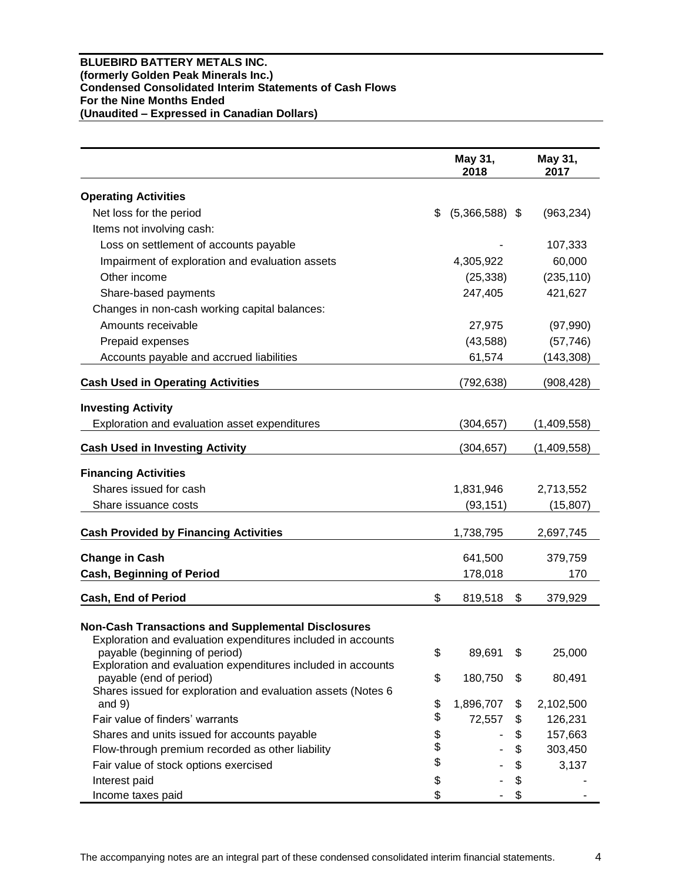## **BLUEBIRD BATTERY METALS INC. (formerly Golden Peak Minerals Inc.) Condensed Consolidated Interim Statements of Cash Flows For the Nine Months Ended (Unaudited – Expressed in Canadian Dollars)**

|                                                                                                                                                                                                                            | May 31,<br>2018        | May 31,<br>2017 |
|----------------------------------------------------------------------------------------------------------------------------------------------------------------------------------------------------------------------------|------------------------|-----------------|
| <b>Operating Activities</b>                                                                                                                                                                                                |                        |                 |
| Net loss for the period                                                                                                                                                                                                    | \$<br>$(5,366,588)$ \$ | (963, 234)      |
| Items not involving cash:                                                                                                                                                                                                  |                        |                 |
| Loss on settlement of accounts payable                                                                                                                                                                                     |                        | 107,333         |
| Impairment of exploration and evaluation assets                                                                                                                                                                            | 4,305,922              | 60,000          |
| Other income                                                                                                                                                                                                               | (25, 338)              | (235, 110)      |
| Share-based payments                                                                                                                                                                                                       | 247,405                | 421,627         |
| Changes in non-cash working capital balances:                                                                                                                                                                              |                        |                 |
| Amounts receivable                                                                                                                                                                                                         | 27,975                 | (97,990)        |
| Prepaid expenses                                                                                                                                                                                                           | (43,588)               | (57, 746)       |
| Accounts payable and accrued liabilities                                                                                                                                                                                   | 61,574                 | (143, 308)      |
|                                                                                                                                                                                                                            |                        |                 |
| <b>Cash Used in Operating Activities</b>                                                                                                                                                                                   | (792, 638)             | (908, 428)      |
| <b>Investing Activity</b>                                                                                                                                                                                                  |                        |                 |
| Exploration and evaluation asset expenditures                                                                                                                                                                              | (304, 657)             | (1,409,558)     |
|                                                                                                                                                                                                                            |                        |                 |
| <b>Cash Used in Investing Activity</b>                                                                                                                                                                                     | (304, 657)             | (1,409,558)     |
| <b>Financing Activities</b>                                                                                                                                                                                                |                        |                 |
| Shares issued for cash                                                                                                                                                                                                     | 1,831,946              | 2,713,552       |
| Share issuance costs                                                                                                                                                                                                       | (93, 151)              | (15, 807)       |
| <b>Cash Provided by Financing Activities</b>                                                                                                                                                                               | 1,738,795              | 2,697,745       |
| <b>Change in Cash</b>                                                                                                                                                                                                      | 641,500                | 379,759         |
| <b>Cash, Beginning of Period</b>                                                                                                                                                                                           | 178,018                | 170             |
|                                                                                                                                                                                                                            |                        |                 |
| Cash, End of Period                                                                                                                                                                                                        | \$<br>819,518          | \$<br>379,929   |
| <b>Non-Cash Transactions and Supplemental Disclosures</b><br>Exploration and evaluation expenditures included in accounts<br>payable (beginning of period)<br>Exploration and evaluation expenditures included in accounts | \$<br>89,691           | \$<br>25,000    |
| payable (end of period)<br>Shares issued for exploration and evaluation assets (Notes 6                                                                                                                                    | \$<br>180,750          | \$<br>80,491    |
| and $9)$                                                                                                                                                                                                                   | \$<br>1,896,707        | \$<br>2,102,500 |
| Fair value of finders' warrants                                                                                                                                                                                            | \$<br>72,557           | \$<br>126,231   |
| Shares and units issued for accounts payable                                                                                                                                                                               | \$                     | \$<br>157,663   |
| Flow-through premium recorded as other liability                                                                                                                                                                           | \$                     | \$<br>303,450   |
| Fair value of stock options exercised                                                                                                                                                                                      | \$                     | \$<br>3,137     |
| Interest paid                                                                                                                                                                                                              | \$                     | \$              |
| Income taxes paid                                                                                                                                                                                                          | \$                     | \$              |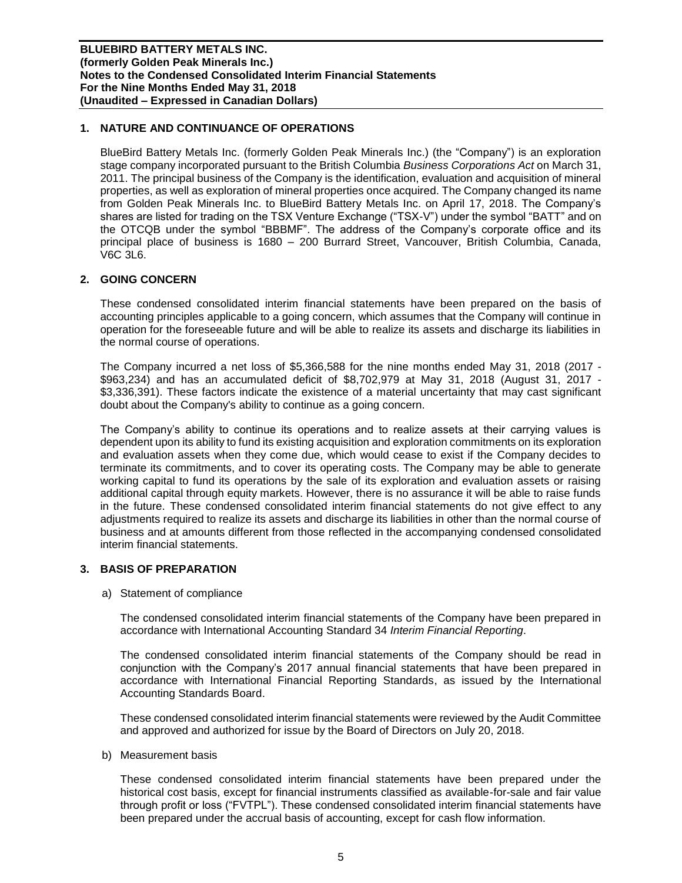# **1. NATURE AND CONTINUANCE OF OPERATIONS**

BlueBird Battery Metals Inc. (formerly Golden Peak Minerals Inc.) (the "Company") is an exploration stage company incorporated pursuant to the British Columbia *Business Corporations Act* on March 31, 2011. The principal business of the Company is the identification, evaluation and acquisition of mineral properties, as well as exploration of mineral properties once acquired. The Company changed its name from Golden Peak Minerals Inc. to BlueBird Battery Metals Inc. on April 17, 2018. The Company's shares are listed for trading on the TSX Venture Exchange ("TSX-V") under the symbol "BATT" and on the OTCQB under the symbol "BBBMF". The address of the Company's corporate office and its principal place of business is 1680 – 200 Burrard Street, Vancouver, British Columbia, Canada, V6C 3L6.

## **2. GOING CONCERN**

These condensed consolidated interim financial statements have been prepared on the basis of accounting principles applicable to a going concern, which assumes that the Company will continue in operation for the foreseeable future and will be able to realize its assets and discharge its liabilities in the normal course of operations.

The Company incurred a net loss of \$5,366,588 for the nine months ended May 31, 2018 (2017 - \$963,234) and has an accumulated deficit of \$8,702,979 at May 31, 2018 (August 31, 2017 - \$3,336,391). These factors indicate the existence of a material uncertainty that may cast significant doubt about the Company's ability to continue as a going concern.

The Company's ability to continue its operations and to realize assets at their carrying values is dependent upon its ability to fund its existing acquisition and exploration commitments on its exploration and evaluation assets when they come due, which would cease to exist if the Company decides to terminate its commitments, and to cover its operating costs. The Company may be able to generate working capital to fund its operations by the sale of its exploration and evaluation assets or raising additional capital through equity markets. However, there is no assurance it will be able to raise funds in the future. These condensed consolidated interim financial statements do not give effect to any adjustments required to realize its assets and discharge its liabilities in other than the normal course of business and at amounts different from those reflected in the accompanying condensed consolidated interim financial statements.

## **3. BASIS OF PREPARATION**

a) Statement of compliance

The condensed consolidated interim financial statements of the Company have been prepared in accordance with International Accounting Standard 34 *Interim Financial Reporting*.

The condensed consolidated interim financial statements of the Company should be read in conjunction with the Company's 2017 annual financial statements that have been prepared in accordance with International Financial Reporting Standards, as issued by the International Accounting Standards Board.

These condensed consolidated interim financial statements were reviewed by the Audit Committee and approved and authorized for issue by the Board of Directors on July 20, 2018.

b) Measurement basis

These condensed consolidated interim financial statements have been prepared under the historical cost basis, except for financial instruments classified as available-for-sale and fair value through profit or loss ("FVTPL"). These condensed consolidated interim financial statements have been prepared under the accrual basis of accounting, except for cash flow information.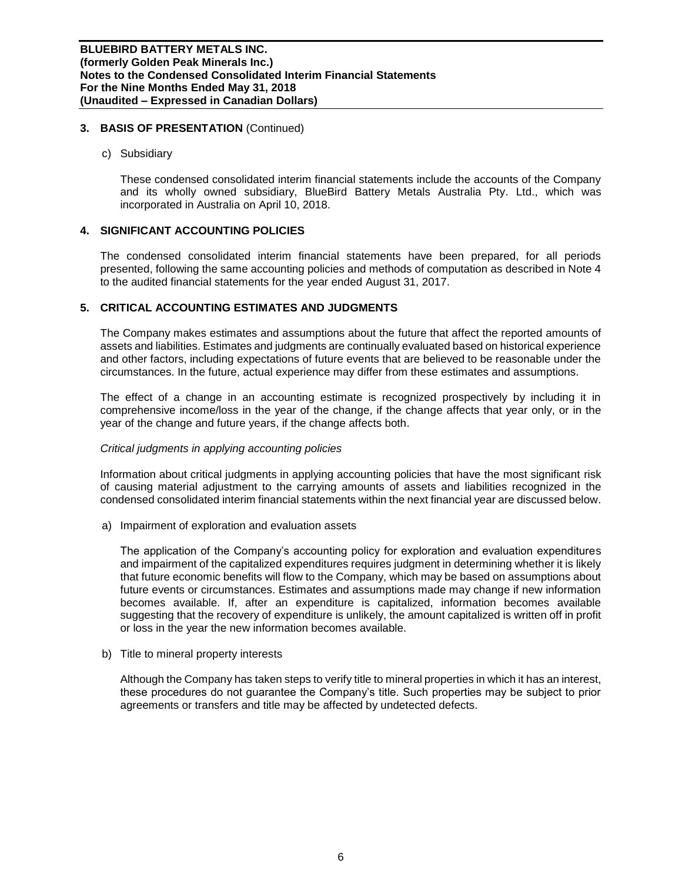## **3. BASIS OF PRESENTATION** (Continued)

c) Subsidiary

These condensed consolidated interim financial statements include the accounts of the Company and its wholly owned subsidiary, BlueBird Battery Metals Australia Pty. Ltd., which was incorporated in Australia on April 10, 2018.

## **4. SIGNIFICANT ACCOUNTING POLICIES**

The condensed consolidated interim financial statements have been prepared, for all periods presented, following the same accounting policies and methods of computation as described in Note 4 to the audited financial statements for the year ended August 31, 2017.

# **5. CRITICAL ACCOUNTING ESTIMATES AND JUDGMENTS**

The Company makes estimates and assumptions about the future that affect the reported amounts of assets and liabilities. Estimates and judgments are continually evaluated based on historical experience and other factors, including expectations of future events that are believed to be reasonable under the circumstances. In the future, actual experience may differ from these estimates and assumptions.

The effect of a change in an accounting estimate is recognized prospectively by including it in comprehensive income/loss in the year of the change, if the change affects that year only, or in the year of the change and future years, if the change affects both.

## *Critical judgments in applying accounting policies*

Information about critical judgments in applying accounting policies that have the most significant risk of causing material adjustment to the carrying amounts of assets and liabilities recognized in the condensed consolidated interim financial statements within the next financial year are discussed below.

a) Impairment of exploration and evaluation assets

The application of the Company's accounting policy for exploration and evaluation expenditures and impairment of the capitalized expenditures requires judgment in determining whether it is likely that future economic benefits will flow to the Company, which may be based on assumptions about future events or circumstances. Estimates and assumptions made may change if new information becomes available. If, after an expenditure is capitalized, information becomes available suggesting that the recovery of expenditure is unlikely, the amount capitalized is written off in profit or loss in the year the new information becomes available.

b) Title to mineral property interests

Although the Company has taken steps to verify title to mineral properties in which it has an interest, these procedures do not guarantee the Company's title. Such properties may be subject to prior agreements or transfers and title may be affected by undetected defects.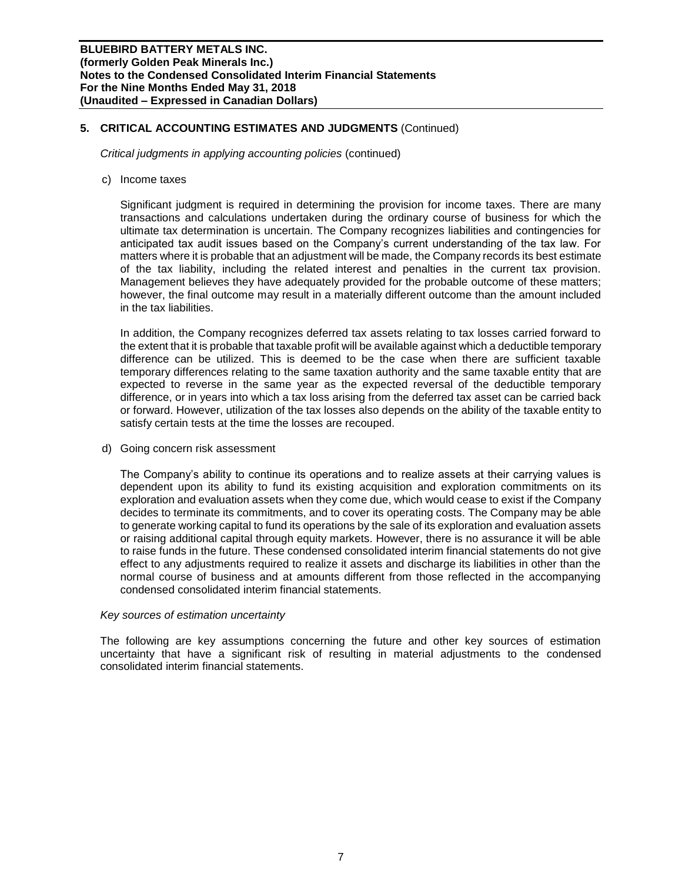## **5. CRITICAL ACCOUNTING ESTIMATES AND JUDGMENTS** (Continued)

*Critical judgments in applying accounting policies* (continued)

c) Income taxes

Significant judgment is required in determining the provision for income taxes. There are many transactions and calculations undertaken during the ordinary course of business for which the ultimate tax determination is uncertain. The Company recognizes liabilities and contingencies for anticipated tax audit issues based on the Company's current understanding of the tax law. For matters where it is probable that an adjustment will be made, the Company records its best estimate of the tax liability, including the related interest and penalties in the current tax provision. Management believes they have adequately provided for the probable outcome of these matters; however, the final outcome may result in a materially different outcome than the amount included in the tax liabilities.

In addition, the Company recognizes deferred tax assets relating to tax losses carried forward to the extent that it is probable that taxable profit will be available against which a deductible temporary difference can be utilized. This is deemed to be the case when there are sufficient taxable temporary differences relating to the same taxation authority and the same taxable entity that are expected to reverse in the same year as the expected reversal of the deductible temporary difference, or in years into which a tax loss arising from the deferred tax asset can be carried back or forward. However, utilization of the tax losses also depends on the ability of the taxable entity to satisfy certain tests at the time the losses are recouped.

d) Going concern risk assessment

The Company's ability to continue its operations and to realize assets at their carrying values is dependent upon its ability to fund its existing acquisition and exploration commitments on its exploration and evaluation assets when they come due, which would cease to exist if the Company decides to terminate its commitments, and to cover its operating costs. The Company may be able to generate working capital to fund its operations by the sale of its exploration and evaluation assets or raising additional capital through equity markets. However, there is no assurance it will be able to raise funds in the future. These condensed consolidated interim financial statements do not give effect to any adjustments required to realize it assets and discharge its liabilities in other than the normal course of business and at amounts different from those reflected in the accompanying condensed consolidated interim financial statements.

#### *Key sources of estimation uncertainty*

The following are key assumptions concerning the future and other key sources of estimation uncertainty that have a significant risk of resulting in material adjustments to the condensed consolidated interim financial statements.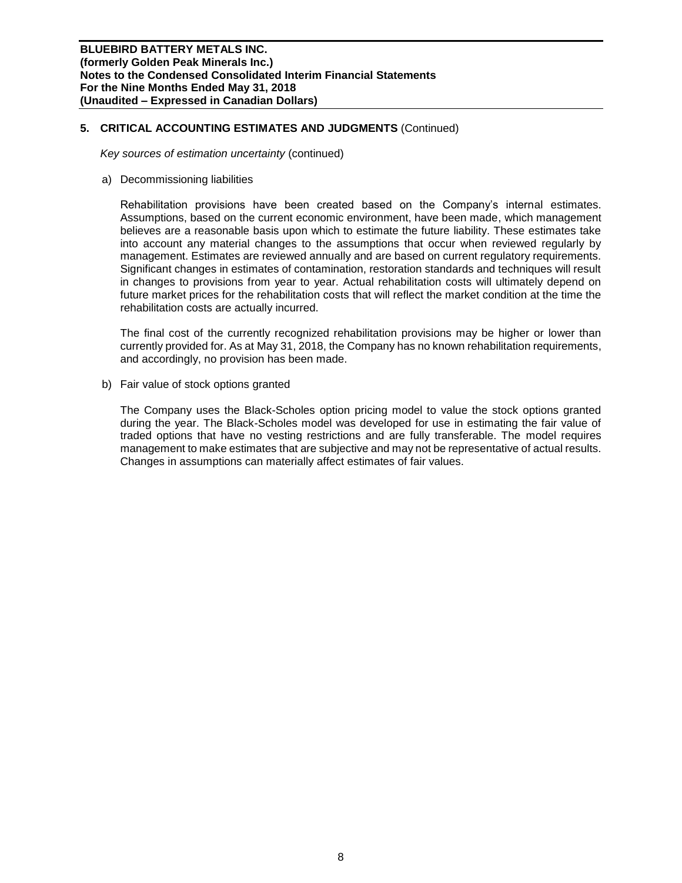## **5. CRITICAL ACCOUNTING ESTIMATES AND JUDGMENTS** (Continued)

*Key sources of estimation uncertainty* (continued)

a) Decommissioning liabilities

Rehabilitation provisions have been created based on the Company's internal estimates. Assumptions, based on the current economic environment, have been made, which management believes are a reasonable basis upon which to estimate the future liability. These estimates take into account any material changes to the assumptions that occur when reviewed regularly by management. Estimates are reviewed annually and are based on current regulatory requirements. Significant changes in estimates of contamination, restoration standards and techniques will result in changes to provisions from year to year. Actual rehabilitation costs will ultimately depend on future market prices for the rehabilitation costs that will reflect the market condition at the time the rehabilitation costs are actually incurred.

The final cost of the currently recognized rehabilitation provisions may be higher or lower than currently provided for. As at May 31, 2018, the Company has no known rehabilitation requirements, and accordingly, no provision has been made.

b) Fair value of stock options granted

The Company uses the Black-Scholes option pricing model to value the stock options granted during the year. The Black-Scholes model was developed for use in estimating the fair value of traded options that have no vesting restrictions and are fully transferable. The model requires management to make estimates that are subjective and may not be representative of actual results. Changes in assumptions can materially affect estimates of fair values.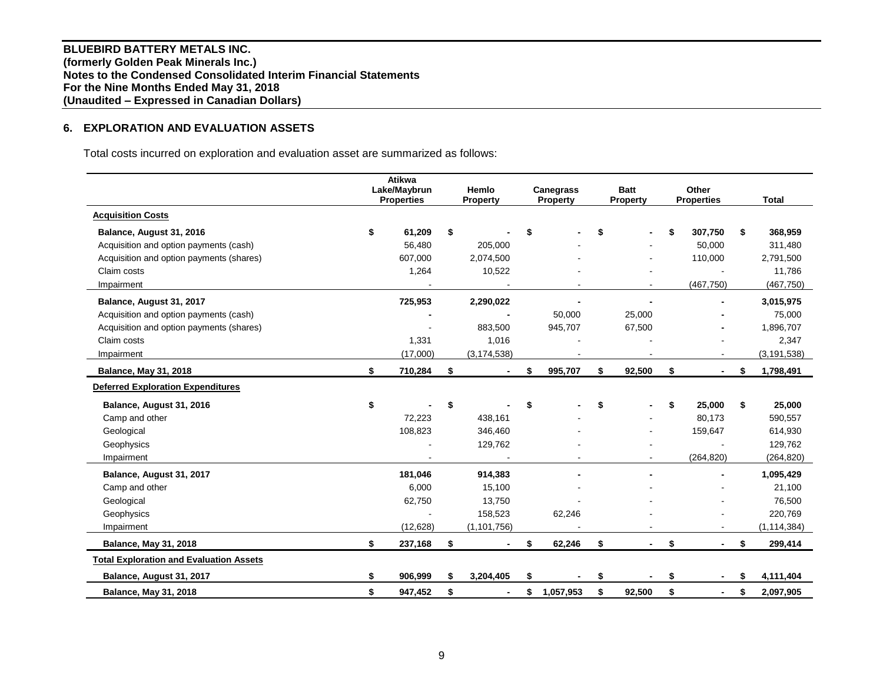**BLUEBIRD BATTERY METALS INC. (formerly Golden Peak Minerals Inc.) Notes to the Condensed Consolidated Interim Financial Statements For the Nine Months Ended May 31, 2018 (Unaudited – Expressed in Canadian Dollars)**

# **6. EXPLORATION AND EVALUATION ASSETS**

Total costs incurred on exploration and evaluation asset are summarized as follows:

|                                                | Atikwa<br>Lake/Maybrun<br><b>Properties</b> | Hemlo<br><b>Property</b>       | <b>Canegrass</b><br><b>Property</b> | <b>Batt</b><br><b>Property</b> | Other<br><b>Properties</b> |    | <b>Total</b>  |
|------------------------------------------------|---------------------------------------------|--------------------------------|-------------------------------------|--------------------------------|----------------------------|----|---------------|
| <b>Acquisition Costs</b>                       |                                             |                                |                                     |                                |                            |    |               |
| Balance, August 31, 2016                       | \$<br>61,209                                | \$                             | \$                                  | \$                             | \$<br>307,750              | \$ | 368,959       |
| Acquisition and option payments (cash)         | 56,480                                      | 205,000                        |                                     |                                | 50,000                     |    | 311,480       |
| Acquisition and option payments (shares)       | 607,000                                     | 2,074,500                      |                                     |                                | 110,000                    |    | 2,791,500     |
| Claim costs                                    | 1,264                                       | 10,522                         |                                     |                                |                            |    | 11,786        |
| Impairment                                     |                                             |                                |                                     |                                | (467, 750)                 |    | (467, 750)    |
| Balance, August 31, 2017                       | 725,953                                     | 2,290,022                      |                                     |                                |                            |    | 3,015,975     |
| Acquisition and option payments (cash)         |                                             |                                | 50,000                              | 25,000                         |                            |    | 75,000        |
| Acquisition and option payments (shares)       |                                             | 883,500                        | 945,707                             | 67,500                         |                            |    | 1,896,707     |
| Claim costs                                    | 1,331                                       | 1,016                          |                                     |                                |                            |    | 2,347         |
| Impairment                                     | (17,000)                                    | (3, 174, 538)                  |                                     |                                |                            |    | (3, 191, 538) |
| <b>Balance, May 31, 2018</b>                   | \$<br>710,284                               | \$                             | \$<br>995,707                       | \$<br>92,500                   | \$                         | \$ | 1,798,491     |
| <b>Deferred Exploration Expenditures</b>       |                                             |                                |                                     |                                |                            |    |               |
| Balance, August 31, 2016                       | \$                                          | \$                             | \$                                  | \$                             | \$<br>25,000               | \$ | 25,000        |
| Camp and other                                 | 72,223                                      | 438,161                        |                                     |                                | 80,173                     |    | 590,557       |
| Geological                                     | 108,823                                     | 346,460                        |                                     |                                | 159,647                    |    | 614,930       |
| Geophysics                                     |                                             | 129,762                        |                                     |                                |                            |    | 129,762       |
| Impairment                                     |                                             |                                |                                     |                                | (264, 820)                 |    | (264, 820)    |
| Balance, August 31, 2017                       | 181,046                                     | 914,383                        |                                     |                                |                            |    | 1,095,429     |
| Camp and other                                 | 6,000                                       | 15,100                         |                                     |                                |                            |    | 21,100        |
| Geological                                     | 62,750                                      | 13,750                         |                                     |                                |                            |    | 76,500        |
| Geophysics                                     |                                             | 158,523                        | 62,246                              |                                |                            |    | 220,769       |
| Impairment                                     | (12, 628)                                   | (1, 101, 756)                  |                                     |                                | $\overline{\phantom{a}}$   |    | (1, 114, 384) |
| <b>Balance, May 31, 2018</b>                   | \$<br>237,168                               | \$<br>$\overline{\phantom{a}}$ | \$<br>62,246                        | \$<br>$\blacksquare$           | \$<br>$\blacksquare$       | \$ | 299,414       |
| <b>Total Exploration and Evaluation Assets</b> |                                             |                                |                                     |                                |                            |    |               |
| Balance, August 31, 2017                       | \$<br>906,999                               | \$<br>3,204,405                | \$                                  | \$                             | \$                         | S  | 4,111,404     |
| <b>Balance, May 31, 2018</b>                   | \$<br>947,452                               | \$<br>٠                        | \$<br>1,057,953                     | \$<br>92,500                   | \$<br>$\blacksquare$       | \$ | 2,097,905     |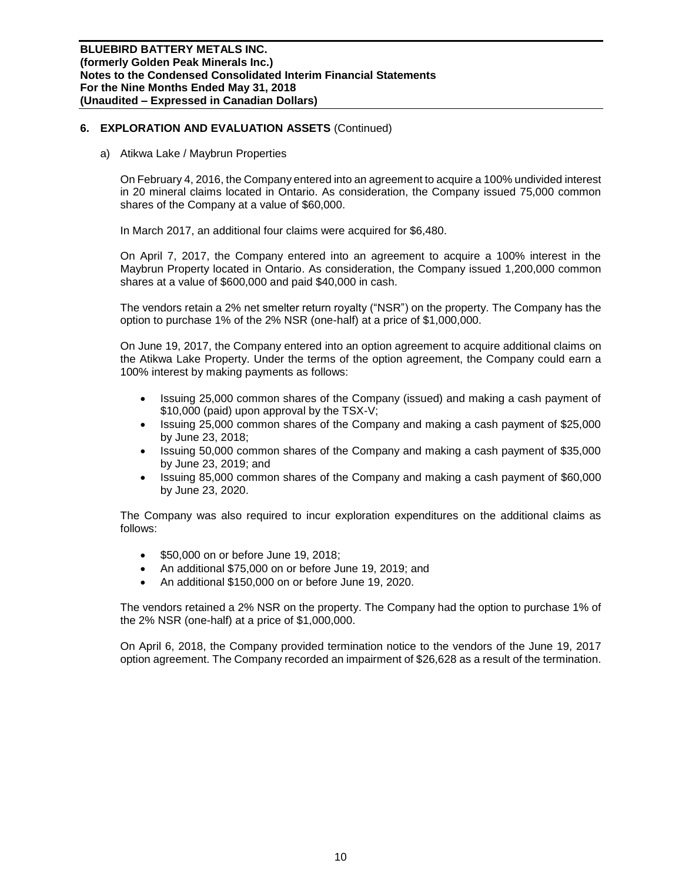a) Atikwa Lake / Maybrun Properties

On February 4, 2016, the Company entered into an agreement to acquire a 100% undivided interest in 20 mineral claims located in Ontario. As consideration, the Company issued 75,000 common shares of the Company at a value of \$60,000.

In March 2017, an additional four claims were acquired for \$6,480.

On April 7, 2017, the Company entered into an agreement to acquire a 100% interest in the Maybrun Property located in Ontario. As consideration, the Company issued 1,200,000 common shares at a value of \$600,000 and paid \$40,000 in cash.

The vendors retain a 2% net smelter return royalty ("NSR") on the property. The Company has the option to purchase 1% of the 2% NSR (one-half) at a price of \$1,000,000.

On June 19, 2017, the Company entered into an option agreement to acquire additional claims on the Atikwa Lake Property. Under the terms of the option agreement, the Company could earn a 100% interest by making payments as follows:

- Issuing 25,000 common shares of the Company (issued) and making a cash payment of \$10,000 (paid) upon approval by the TSX-V;
- Issuing 25,000 common shares of the Company and making a cash payment of \$25,000 by June 23, 2018;
- Issuing 50,000 common shares of the Company and making a cash payment of \$35,000 by June 23, 2019; and
- Issuing 85,000 common shares of the Company and making a cash payment of \$60,000 by June 23, 2020.

The Company was also required to incur exploration expenditures on the additional claims as follows:

- \$50,000 on or before June 19, 2018;
- An additional \$75,000 on or before June 19, 2019; and
- An additional \$150,000 on or before June 19, 2020.

The vendors retained a 2% NSR on the property. The Company had the option to purchase 1% of the 2% NSR (one-half) at a price of \$1,000,000.

On April 6, 2018, the Company provided termination notice to the vendors of the June 19, 2017 option agreement. The Company recorded an impairment of \$26,628 as a result of the termination.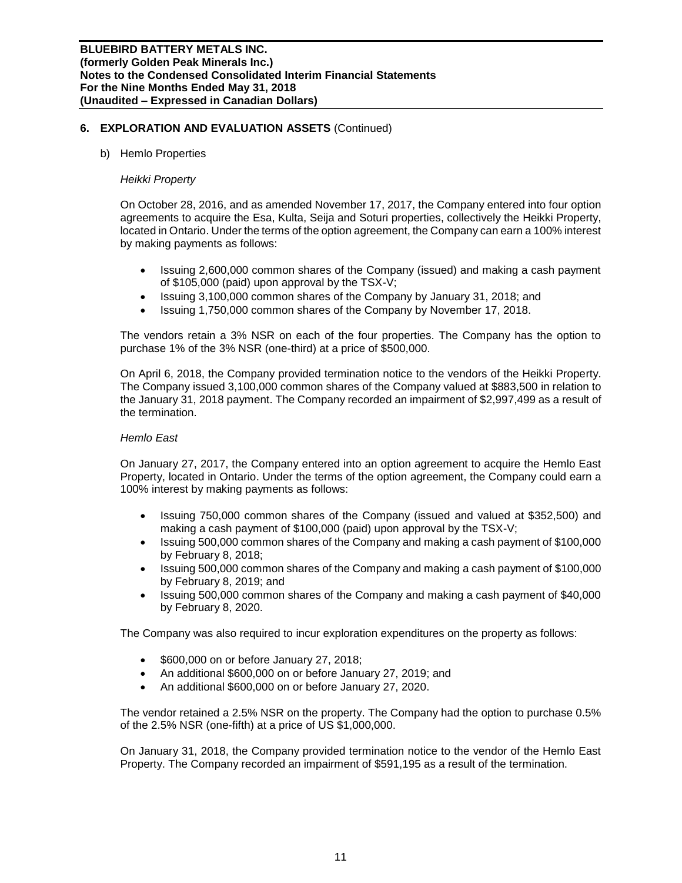#### b) Hemlo Properties

#### *Heikki Property*

On October 28, 2016, and as amended November 17, 2017, the Company entered into four option agreements to acquire the Esa, Kulta, Seija and Soturi properties, collectively the Heikki Property, located in Ontario. Under the terms of the option agreement, the Company can earn a 100% interest by making payments as follows:

- Issuing 2,600,000 common shares of the Company (issued) and making a cash payment of \$105,000 (paid) upon approval by the TSX-V;
- Issuing 3,100,000 common shares of the Company by January 31, 2018; and
- Issuing 1,750,000 common shares of the Company by November 17, 2018.

The vendors retain a 3% NSR on each of the four properties. The Company has the option to purchase 1% of the 3% NSR (one-third) at a price of \$500,000.

On April 6, 2018, the Company provided termination notice to the vendors of the Heikki Property. The Company issued 3,100,000 common shares of the Company valued at \$883,500 in relation to the January 31, 2018 payment. The Company recorded an impairment of \$2,997,499 as a result of the termination.

#### *Hemlo East*

On January 27, 2017, the Company entered into an option agreement to acquire the Hemlo East Property, located in Ontario. Under the terms of the option agreement, the Company could earn a 100% interest by making payments as follows:

- Issuing 750,000 common shares of the Company (issued and valued at \$352,500) and making a cash payment of \$100,000 (paid) upon approval by the TSX-V;
- Issuing 500,000 common shares of the Company and making a cash payment of \$100,000 by February 8, 2018;
- Issuing 500,000 common shares of the Company and making a cash payment of \$100,000 by February 8, 2019; and
- Issuing 500,000 common shares of the Company and making a cash payment of \$40,000 by February 8, 2020.

The Company was also required to incur exploration expenditures on the property as follows:

- \$600,000 on or before January 27, 2018;
- An additional \$600,000 on or before January 27, 2019; and
- An additional \$600,000 on or before January 27, 2020.

The vendor retained a 2.5% NSR on the property. The Company had the option to purchase 0.5% of the 2.5% NSR (one-fifth) at a price of US \$1,000,000.

On January 31, 2018, the Company provided termination notice to the vendor of the Hemlo East Property. The Company recorded an impairment of \$591,195 as a result of the termination.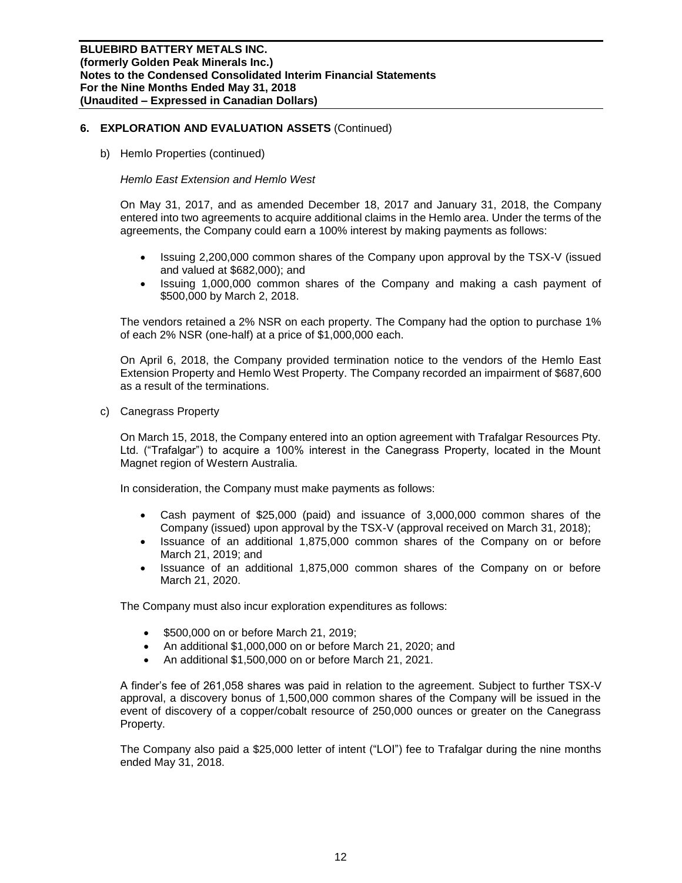b) Hemlo Properties (continued)

## *Hemlo East Extension and Hemlo West*

On May 31, 2017, and as amended December 18, 2017 and January 31, 2018, the Company entered into two agreements to acquire additional claims in the Hemlo area. Under the terms of the agreements, the Company could earn a 100% interest by making payments as follows:

- Issuing 2,200,000 common shares of the Company upon approval by the TSX-V (issued and valued at \$682,000); and
- Issuing 1,000,000 common shares of the Company and making a cash payment of \$500,000 by March 2, 2018.

The vendors retained a 2% NSR on each property. The Company had the option to purchase 1% of each 2% NSR (one-half) at a price of \$1,000,000 each.

On April 6, 2018, the Company provided termination notice to the vendors of the Hemlo East Extension Property and Hemlo West Property. The Company recorded an impairment of \$687,600 as a result of the terminations.

c) Canegrass Property

On March 15, 2018, the Company entered into an option agreement with Trafalgar Resources Pty. Ltd. ("Trafalgar") to acquire a 100% interest in the Canegrass Property, located in the Mount Magnet region of Western Australia.

In consideration, the Company must make payments as follows:

- Cash payment of \$25,000 (paid) and issuance of 3,000,000 common shares of the Company (issued) upon approval by the TSX-V (approval received on March 31, 2018);
- Issuance of an additional 1,875,000 common shares of the Company on or before March 21, 2019; and
- Issuance of an additional 1,875,000 common shares of the Company on or before March 21, 2020.

The Company must also incur exploration expenditures as follows:

- \$500,000 on or before March 21, 2019;
- An additional \$1,000,000 on or before March 21, 2020; and
- An additional \$1,500,000 on or before March 21, 2021.

A finder's fee of 261,058 shares was paid in relation to the agreement. Subject to further TSX-V approval, a discovery bonus of 1,500,000 common shares of the Company will be issued in the event of discovery of a copper/cobalt resource of 250,000 ounces or greater on the Canegrass Property.

The Company also paid a \$25,000 letter of intent ("LOI") fee to Trafalgar during the nine months ended May 31, 2018.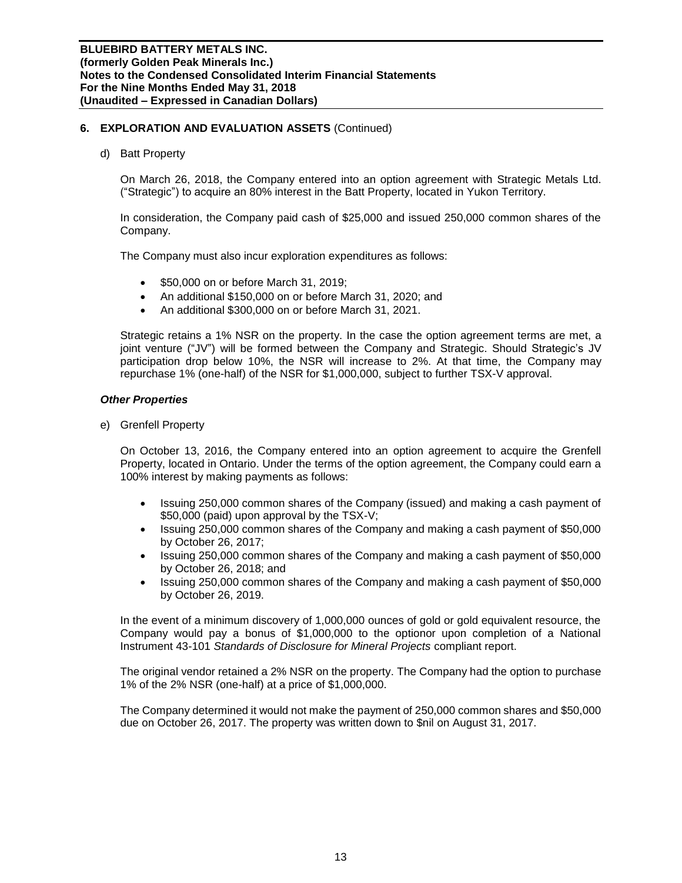d) Batt Property

On March 26, 2018, the Company entered into an option agreement with Strategic Metals Ltd. ("Strategic") to acquire an 80% interest in the Batt Property, located in Yukon Territory.

In consideration, the Company paid cash of \$25,000 and issued 250,000 common shares of the Company.

The Company must also incur exploration expenditures as follows:

- \$50,000 on or before March 31, 2019;
- An additional \$150,000 on or before March 31, 2020; and
- An additional \$300,000 on or before March 31, 2021.

Strategic retains a 1% NSR on the property. In the case the option agreement terms are met, a joint venture ("JV") will be formed between the Company and Strategic. Should Strategic's JV participation drop below 10%, the NSR will increase to 2%. At that time, the Company may repurchase 1% (one-half) of the NSR for \$1,000,000, subject to further TSX-V approval.

#### *Other Properties*

e) Grenfell Property

On October 13, 2016, the Company entered into an option agreement to acquire the Grenfell Property, located in Ontario. Under the terms of the option agreement, the Company could earn a 100% interest by making payments as follows:

- Issuing 250,000 common shares of the Company (issued) and making a cash payment of \$50,000 (paid) upon approval by the TSX-V;
- Issuing 250,000 common shares of the Company and making a cash payment of \$50,000 by October 26, 2017;
- Issuing 250,000 common shares of the Company and making a cash payment of \$50,000 by October 26, 2018; and
- Issuing 250,000 common shares of the Company and making a cash payment of \$50,000 by October 26, 2019.

In the event of a minimum discovery of 1,000,000 ounces of gold or gold equivalent resource, the Company would pay a bonus of \$1,000,000 to the optionor upon completion of a National Instrument 43-101 *Standards of Disclosure for Mineral Projects* compliant report.

The original vendor retained a 2% NSR on the property. The Company had the option to purchase 1% of the 2% NSR (one-half) at a price of \$1,000,000.

The Company determined it would not make the payment of 250,000 common shares and \$50,000 due on October 26, 2017. The property was written down to \$nil on August 31, 2017.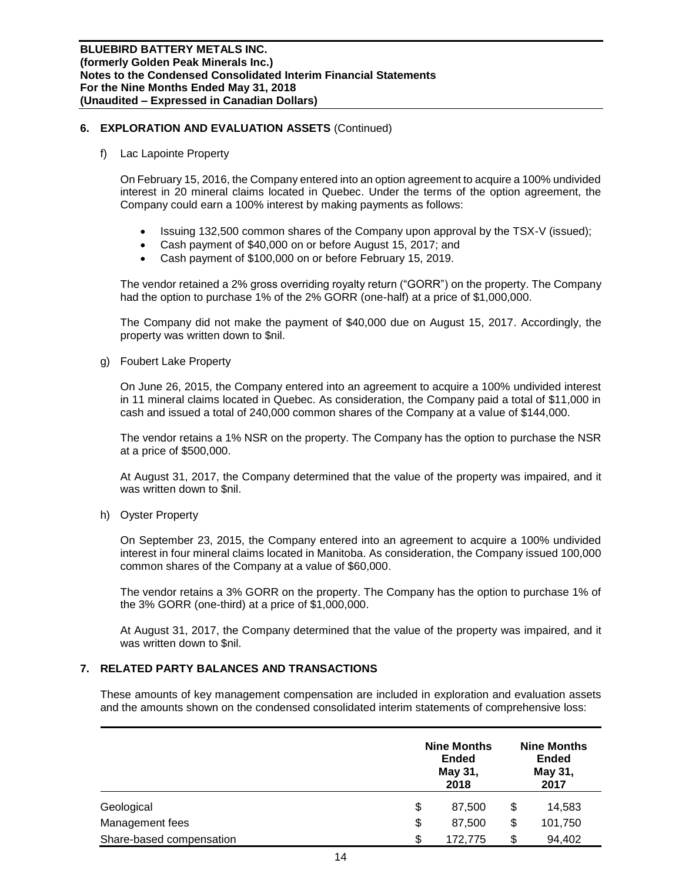#### f) Lac Lapointe Property

On February 15, 2016, the Company entered into an option agreement to acquire a 100% undivided interest in 20 mineral claims located in Quebec. Under the terms of the option agreement, the Company could earn a 100% interest by making payments as follows:

- Issuing 132,500 common shares of the Company upon approval by the TSX-V (issued);
- Cash payment of \$40,000 on or before August 15, 2017; and
- Cash payment of \$100,000 on or before February 15, 2019.

The vendor retained a 2% gross overriding royalty return ("GORR") on the property. The Company had the option to purchase 1% of the 2% GORR (one-half) at a price of \$1,000,000.

The Company did not make the payment of \$40,000 due on August 15, 2017. Accordingly, the property was written down to \$nil.

## g) Foubert Lake Property

On June 26, 2015, the Company entered into an agreement to acquire a 100% undivided interest in 11 mineral claims located in Quebec. As consideration, the Company paid a total of \$11,000 in cash and issued a total of 240,000 common shares of the Company at a value of \$144,000.

The vendor retains a 1% NSR on the property. The Company has the option to purchase the NSR at a price of \$500,000.

At August 31, 2017, the Company determined that the value of the property was impaired, and it was written down to \$nil.

h) Oyster Property

On September 23, 2015, the Company entered into an agreement to acquire a 100% undivided interest in four mineral claims located in Manitoba. As consideration, the Company issued 100,000 common shares of the Company at a value of \$60,000.

The vendor retains a 3% GORR on the property. The Company has the option to purchase 1% of the 3% GORR (one-third) at a price of \$1,000,000.

At August 31, 2017, the Company determined that the value of the property was impaired, and it was written down to \$nil.

## **7. RELATED PARTY BALANCES AND TRANSACTIONS**

These amounts of key management compensation are included in exploration and evaluation assets and the amounts shown on the condensed consolidated interim statements of comprehensive loss:

|                          | <b>Nine Months</b><br><b>Ended</b><br>May 31,<br>2018 | <b>Nine Months</b><br><b>Ended</b><br>May 31,<br>2017 |         |  |
|--------------------------|-------------------------------------------------------|-------------------------------------------------------|---------|--|
| Geological               | \$<br>87,500                                          | \$                                                    | 14,583  |  |
| Management fees          | \$<br>87.500                                          | \$                                                    | 101,750 |  |
| Share-based compensation | \$<br>172,775                                         | \$                                                    | 94,402  |  |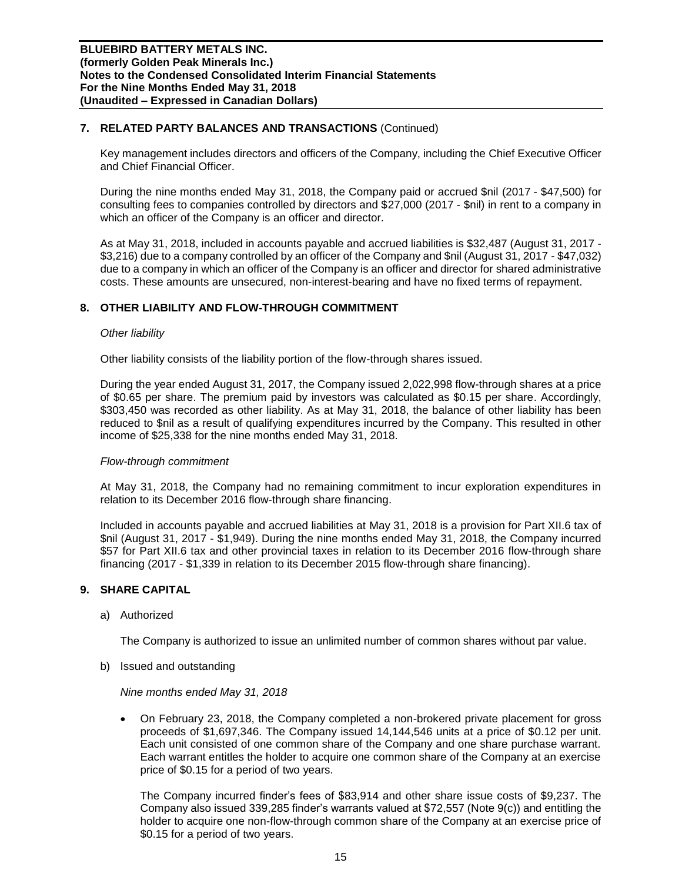# **7. RELATED PARTY BALANCES AND TRANSACTIONS** (Continued)

Key management includes directors and officers of the Company, including the Chief Executive Officer and Chief Financial Officer.

During the nine months ended May 31, 2018, the Company paid or accrued \$nil (2017 - \$47,500) for consulting fees to companies controlled by directors and \$27,000 (2017 - \$nil) in rent to a company in which an officer of the Company is an officer and director.

As at May 31, 2018, included in accounts payable and accrued liabilities is \$32,487 (August 31, 2017 - \$3,216) due to a company controlled by an officer of the Company and \$nil (August 31, 2017 - \$47,032) due to a company in which an officer of the Company is an officer and director for shared administrative costs. These amounts are unsecured, non-interest-bearing and have no fixed terms of repayment.

# **8. OTHER LIABILITY AND FLOW-THROUGH COMMITMENT**

#### *Other liability*

Other liability consists of the liability portion of the flow-through shares issued.

During the year ended August 31, 2017, the Company issued 2,022,998 flow-through shares at a price of \$0.65 per share. The premium paid by investors was calculated as \$0.15 per share. Accordingly, \$303,450 was recorded as other liability. As at May 31, 2018, the balance of other liability has been reduced to \$nil as a result of qualifying expenditures incurred by the Company. This resulted in other income of \$25,338 for the nine months ended May 31, 2018.

## *Flow-through commitment*

At May 31, 2018, the Company had no remaining commitment to incur exploration expenditures in relation to its December 2016 flow-through share financing.

Included in accounts payable and accrued liabilities at May 31, 2018 is a provision for Part XII.6 tax of \$nil (August 31, 2017 - \$1,949). During the nine months ended May 31, 2018, the Company incurred \$57 for Part XII.6 tax and other provincial taxes in relation to its December 2016 flow-through share financing (2017 - \$1,339 in relation to its December 2015 flow-through share financing).

## **9. SHARE CAPITAL**

a) Authorized

The Company is authorized to issue an unlimited number of common shares without par value.

b) Issued and outstanding

*Nine months ended May 31, 2018*

• On February 23, 2018, the Company completed a non-brokered private placement for gross proceeds of \$1,697,346. The Company issued 14,144,546 units at a price of \$0.12 per unit. Each unit consisted of one common share of the Company and one share purchase warrant. Each warrant entitles the holder to acquire one common share of the Company at an exercise price of \$0.15 for a period of two years.

The Company incurred finder's fees of \$83,914 and other share issue costs of \$9,237. The Company also issued 339,285 finder's warrants valued at \$72,557 (Note 9(c)) and entitling the holder to acquire one non-flow-through common share of the Company at an exercise price of \$0.15 for a period of two years.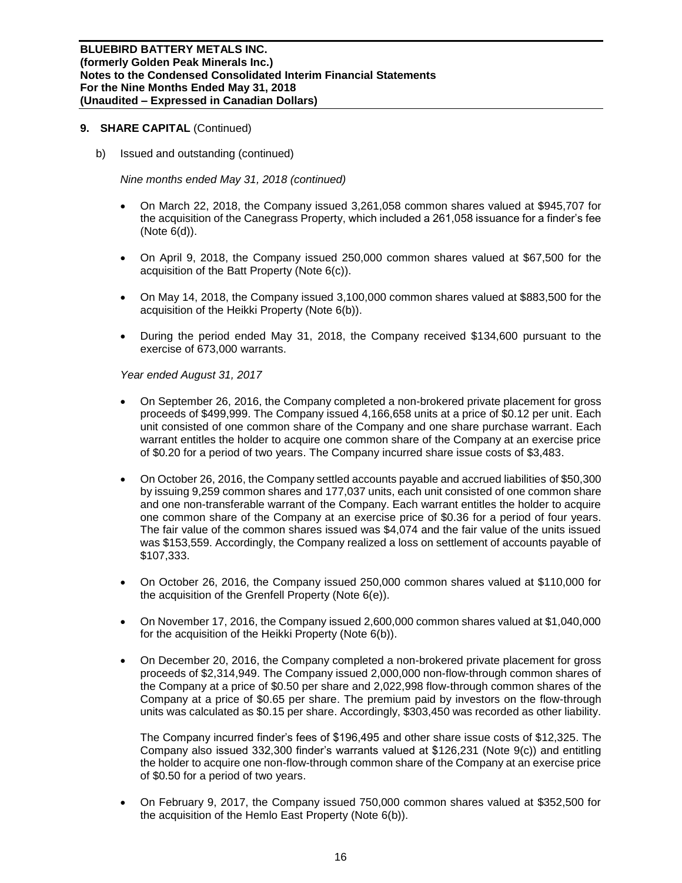b) Issued and outstanding (continued)

*Nine months ended May 31, 2018 (continued)*

- On March 22, 2018, the Company issued 3,261,058 common shares valued at \$945,707 for the acquisition of the Canegrass Property, which included a 261,058 issuance for a finder's fee (Note 6(d)).
- On April 9, 2018, the Company issued 250,000 common shares valued at \$67,500 for the acquisition of the Batt Property (Note 6(c)).
- On May 14, 2018, the Company issued 3,100,000 common shares valued at \$883,500 for the acquisition of the Heikki Property (Note 6(b)).
- During the period ended May 31, 2018, the Company received \$134,600 pursuant to the exercise of 673,000 warrants.

*Year ended August 31, 2017*

- On September 26, 2016, the Company completed a non-brokered private placement for gross proceeds of \$499,999. The Company issued 4,166,658 units at a price of \$0.12 per unit. Each unit consisted of one common share of the Company and one share purchase warrant. Each warrant entitles the holder to acquire one common share of the Company at an exercise price of \$0.20 for a period of two years. The Company incurred share issue costs of \$3,483.
- On October 26, 2016, the Company settled accounts payable and accrued liabilities of \$50,300 by issuing 9,259 common shares and 177,037 units, each unit consisted of one common share and one non-transferable warrant of the Company. Each warrant entitles the holder to acquire one common share of the Company at an exercise price of \$0.36 for a period of four years. The fair value of the common shares issued was \$4,074 and the fair value of the units issued was \$153,559. Accordingly, the Company realized a loss on settlement of accounts payable of \$107,333.
- On October 26, 2016, the Company issued 250,000 common shares valued at \$110,000 for the acquisition of the Grenfell Property (Note 6(e)).
- On November 17, 2016, the Company issued 2,600,000 common shares valued at \$1,040,000 for the acquisition of the Heikki Property (Note 6(b)).
- On December 20, 2016, the Company completed a non-brokered private placement for gross proceeds of \$2,314,949. The Company issued 2,000,000 non-flow-through common shares of the Company at a price of \$0.50 per share and 2,022,998 flow-through common shares of the Company at a price of \$0.65 per share. The premium paid by investors on the flow-through units was calculated as \$0.15 per share. Accordingly, \$303,450 was recorded as other liability.

The Company incurred finder's fees of \$196,495 and other share issue costs of \$12,325. The Company also issued 332,300 finder's warrants valued at \$126,231 (Note 9(c)) and entitling the holder to acquire one non-flow-through common share of the Company at an exercise price of \$0.50 for a period of two years.

• On February 9, 2017, the Company issued 750,000 common shares valued at \$352,500 for the acquisition of the Hemlo East Property (Note 6(b)).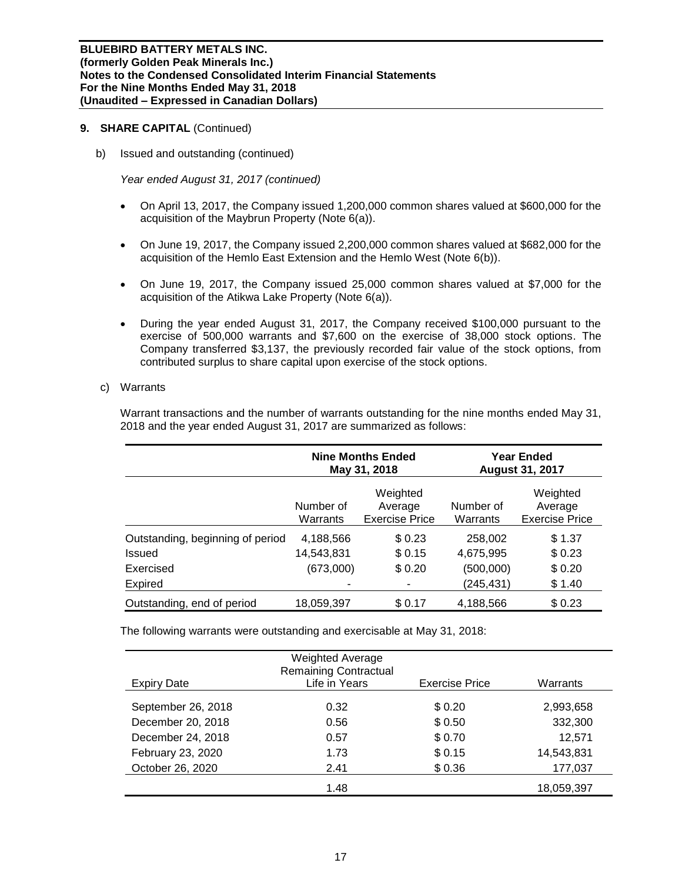b) Issued and outstanding (continued)

*Year ended August 31, 2017 (continued)*

- On April 13, 2017, the Company issued 1,200,000 common shares valued at \$600,000 for the acquisition of the Maybrun Property (Note 6(a)).
- On June 19, 2017, the Company issued 2,200,000 common shares valued at \$682,000 for the acquisition of the Hemlo East Extension and the Hemlo West (Note 6(b)).
- On June 19, 2017, the Company issued 25,000 common shares valued at \$7,000 for the acquisition of the Atikwa Lake Property (Note 6(a)).
- During the year ended August 31, 2017, the Company received \$100,000 pursuant to the exercise of 500,000 warrants and \$7,600 on the exercise of 38,000 stock options. The Company transferred \$3,137, the previously recorded fair value of the stock options, from contributed surplus to share capital upon exercise of the stock options.

## c) Warrants

Warrant transactions and the number of warrants outstanding for the nine months ended May 31, 2018 and the year ended August 31, 2017 are summarized as follows:

|                                  |                       | <b>Nine Months Ended</b><br>May 31, 2018     | <b>Year Ended</b><br><b>August 31, 2017</b> |                                              |  |  |
|----------------------------------|-----------------------|----------------------------------------------|---------------------------------------------|----------------------------------------------|--|--|
|                                  | Number of<br>Warrants | Weighted<br>Average<br><b>Exercise Price</b> | Number of<br>Warrants                       | Weighted<br>Average<br><b>Exercise Price</b> |  |  |
| Outstanding, beginning of period | 4,188,566             | \$0.23                                       | 258,002                                     | \$1.37                                       |  |  |
| <b>Issued</b>                    | 14,543,831            | \$0.15                                       | 4,675,995                                   | \$0.23                                       |  |  |
| Exercised                        | (673,000)             | \$0.20                                       | (500,000)                                   | \$0.20                                       |  |  |
| Expired                          |                       |                                              | (245, 431)                                  | \$1.40                                       |  |  |
| Outstanding, end of period       | 18,059,397            | \$0.17                                       | 4,188,566                                   | \$0.23                                       |  |  |

The following warrants were outstanding and exercisable at May 31, 2018:

| Expiry Date        | <b>Weighted Average</b><br><b>Remaining Contractual</b><br>Life in Years | <b>Exercise Price</b> | Warrants   |
|--------------------|--------------------------------------------------------------------------|-----------------------|------------|
|                    |                                                                          |                       |            |
| September 26, 2018 | 0.32                                                                     | \$0.20                | 2,993,658  |
| December 20, 2018  | 0.56                                                                     | \$0.50                | 332,300    |
| December 24, 2018  | 0.57                                                                     | \$0.70                | 12,571     |
| February 23, 2020  | 1.73                                                                     | \$0.15                | 14,543,831 |
| October 26, 2020   | 2.41                                                                     | \$0.36                | 177,037    |
|                    | 1.48                                                                     |                       | 18,059,397 |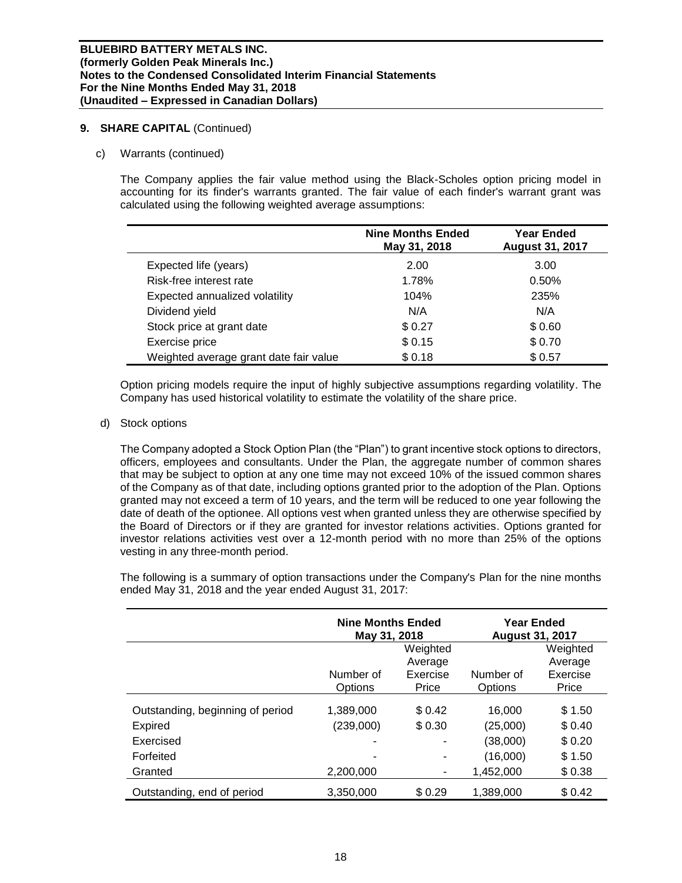## c) Warrants (continued)

The Company applies the fair value method using the Black-Scholes option pricing model in accounting for its finder's warrants granted. The fair value of each finder's warrant grant was calculated using the following weighted average assumptions:

|                                        | <b>Nine Months Ended</b><br>May 31, 2018 | <b>Year Ended</b><br><b>August 31, 2017</b> |
|----------------------------------------|------------------------------------------|---------------------------------------------|
| Expected life (years)                  | 2.00                                     | 3.00                                        |
| Risk-free interest rate                | 1.78%                                    | 0.50%                                       |
| Expected annualized volatility         | 104%                                     | 235%                                        |
| Dividend yield                         | N/A                                      | N/A                                         |
| Stock price at grant date              | \$0.27                                   | \$0.60                                      |
| Exercise price                         | \$0.15                                   | \$0.70                                      |
| Weighted average grant date fair value | \$0.18                                   | \$0.57                                      |

Option pricing models require the input of highly subjective assumptions regarding volatility. The Company has used historical volatility to estimate the volatility of the share price.

## d) Stock options

The Company adopted a Stock Option Plan (the "Plan") to grant incentive stock options to directors, officers, employees and consultants. Under the Plan, the aggregate number of common shares that may be subject to option at any one time may not exceed 10% of the issued common shares of the Company as of that date, including options granted prior to the adoption of the Plan. Options granted may not exceed a term of 10 years, and the term will be reduced to one year following the date of death of the optionee. All options vest when granted unless they are otherwise specified by the Board of Directors or if they are granted for investor relations activities. Options granted for investor relations activities vest over a 12-month period with no more than 25% of the options vesting in any three-month period.

The following is a summary of option transactions under the Company's Plan for the nine months ended May 31, 2018 and the year ended August 31, 2017:

|                                  | <b>Nine Months Ended</b><br>May 31, 2018 |                     | <b>Year Ended</b><br><b>August 31, 2017</b> |                     |
|----------------------------------|------------------------------------------|---------------------|---------------------------------------------|---------------------|
|                                  |                                          | Weighted            |                                             | Weighted            |
|                                  | Number of                                | Average<br>Exercise | Number of                                   | Average<br>Exercise |
|                                  | Options                                  | Price               | Options                                     | Price               |
| Outstanding, beginning of period | 1.389.000                                | \$0.42              | 16.000                                      | \$1.50              |
| <b>Expired</b>                   | (239,000)                                | \$0.30              | (25,000)                                    | \$0.40              |
| Exercised                        |                                          |                     | (38,000)                                    | \$0.20              |
| Forfeited                        |                                          | ۰                   | (16,000)                                    | \$1.50              |
| Granted                          | 2,200,000                                | ٠                   | 1,452,000                                   | \$0.38              |
| Outstanding, end of period       | 3.350.000                                | \$0.29              | 1.389.000                                   | \$0.42              |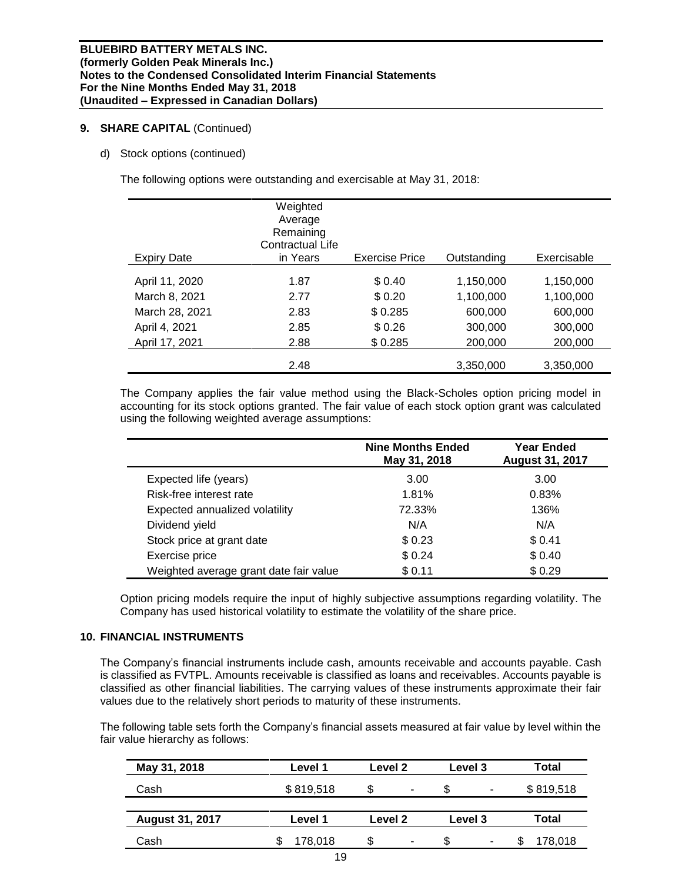d) Stock options (continued)

The following options were outstanding and exercisable at May 31, 2018:

| <b>Expiry Date</b> | Weighted<br>Average<br>Remaining<br>Contractual Life<br>in Years | <b>Exercise Price</b> | Outstanding | Exercisable |
|--------------------|------------------------------------------------------------------|-----------------------|-------------|-------------|
| April 11, 2020     | 1.87                                                             | \$0.40                | 1,150,000   | 1,150,000   |
| March 8, 2021      | 2.77                                                             | \$0.20                | 1,100,000   | 1,100,000   |
| March 28, 2021     | 2.83                                                             | \$0.285               | 600,000     | 600,000     |
| April 4, 2021      | 2.85                                                             | \$0.26                | 300,000     | 300,000     |
| April 17, 2021     | 2.88                                                             | \$0.285               | 200,000     | 200,000     |
|                    | 2.48                                                             |                       | 3,350,000   | 3,350,000   |

The Company applies the fair value method using the Black-Scholes option pricing model in accounting for its stock options granted. The fair value of each stock option grant was calculated using the following weighted average assumptions:

|                                        | <b>Nine Months Ended</b><br>May 31, 2018 | <b>Year Ended</b><br><b>August 31, 2017</b> |
|----------------------------------------|------------------------------------------|---------------------------------------------|
| Expected life (years)                  | 3.00                                     | 3.00                                        |
| Risk-free interest rate                | 1.81%                                    | 0.83%                                       |
| Expected annualized volatility         | 72.33%                                   | 136%                                        |
| Dividend yield                         | N/A                                      | N/A                                         |
| Stock price at grant date              | \$0.23                                   | \$0.41                                      |
| Exercise price                         | \$0.24                                   | \$0.40                                      |
| Weighted average grant date fair value | \$0.11                                   | \$0.29                                      |

Option pricing models require the input of highly subjective assumptions regarding volatility. The Company has used historical volatility to estimate the volatility of the share price.

## **10. FINANCIAL INSTRUMENTS**

The Company's financial instruments include cash, amounts receivable and accounts payable. Cash is classified as FVTPL. Amounts receivable is classified as loans and receivables. Accounts payable is classified as other financial liabilities. The carrying values of these instruments approximate their fair values due to the relatively short periods to maturity of these instruments.

The following table sets forth the Company's financial assets measured at fair value by level within the fair value hierarchy as follows:

| May 31, 2018           | Level 1   | Level 2  | <b>Level 3</b> | Total     |
|------------------------|-----------|----------|----------------|-----------|
| Cash                   | \$819,518 | \$.<br>۰ | \$<br>۰        | \$819,518 |
|                        |           |          |                |           |
| <b>August 31, 2017</b> | Level 1   | Level 2  | Level 3        | Total     |
| Cash                   | 178,018   | S<br>۰   | S<br>۰         | 178,018   |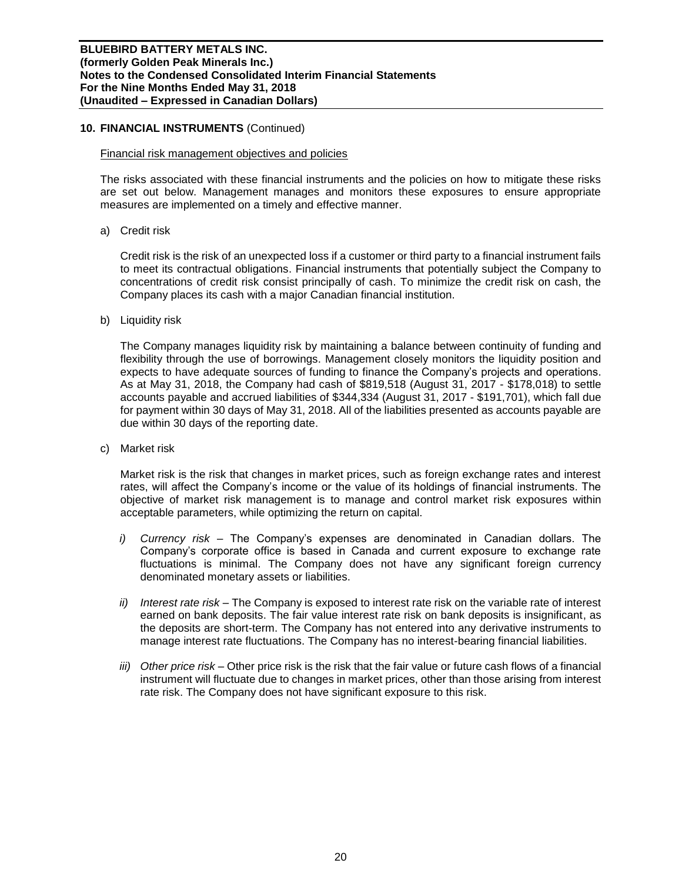## **10. FINANCIAL INSTRUMENTS** (Continued)

#### Financial risk management objectives and policies

The risks associated with these financial instruments and the policies on how to mitigate these risks are set out below. Management manages and monitors these exposures to ensure appropriate measures are implemented on a timely and effective manner.

a) Credit risk

Credit risk is the risk of an unexpected loss if a customer or third party to a financial instrument fails to meet its contractual obligations. Financial instruments that potentially subject the Company to concentrations of credit risk consist principally of cash. To minimize the credit risk on cash, the Company places its cash with a major Canadian financial institution.

b) Liquidity risk

The Company manages liquidity risk by maintaining a balance between continuity of funding and flexibility through the use of borrowings. Management closely monitors the liquidity position and expects to have adequate sources of funding to finance the Company's projects and operations. As at May 31, 2018, the Company had cash of \$819,518 (August 31, 2017 - \$178,018) to settle accounts payable and accrued liabilities of \$344,334 (August 31, 2017 - \$191,701), which fall due for payment within 30 days of May 31, 2018. All of the liabilities presented as accounts payable are due within 30 days of the reporting date.

c) Market risk

Market risk is the risk that changes in market prices, such as foreign exchange rates and interest rates, will affect the Company's income or the value of its holdings of financial instruments. The objective of market risk management is to manage and control market risk exposures within acceptable parameters, while optimizing the return on capital.

- *i) Currency risk –* The Company's expenses are denominated in Canadian dollars. The Company's corporate office is based in Canada and current exposure to exchange rate fluctuations is minimal. The Company does not have any significant foreign currency denominated monetary assets or liabilities.
- *ii) Interest rate risk –* The Company is exposed to interest rate risk on the variable rate of interest earned on bank deposits. The fair value interest rate risk on bank deposits is insignificant, as the deposits are short-term. The Company has not entered into any derivative instruments to manage interest rate fluctuations. The Company has no interest-bearing financial liabilities.
- *iii) Other price risk –* Other price risk is the risk that the fair value or future cash flows of a financial instrument will fluctuate due to changes in market prices, other than those arising from interest rate risk. The Company does not have significant exposure to this risk.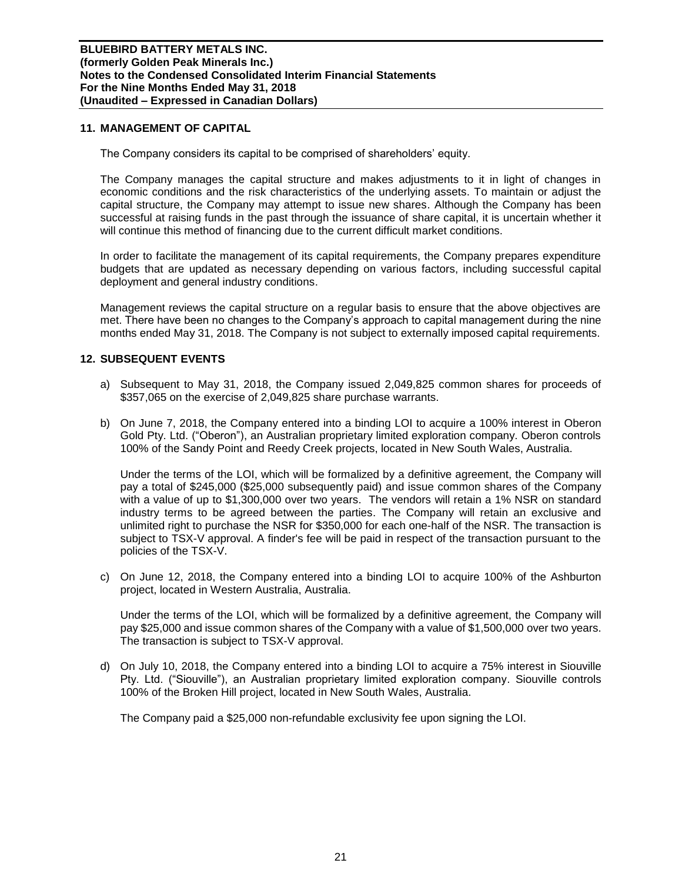## **11. MANAGEMENT OF CAPITAL**

The Company considers its capital to be comprised of shareholders' equity.

The Company manages the capital structure and makes adjustments to it in light of changes in economic conditions and the risk characteristics of the underlying assets. To maintain or adjust the capital structure, the Company may attempt to issue new shares. Although the Company has been successful at raising funds in the past through the issuance of share capital, it is uncertain whether it will continue this method of financing due to the current difficult market conditions.

In order to facilitate the management of its capital requirements, the Company prepares expenditure budgets that are updated as necessary depending on various factors, including successful capital deployment and general industry conditions.

Management reviews the capital structure on a regular basis to ensure that the above objectives are met. There have been no changes to the Company's approach to capital management during the nine months ended May 31, 2018. The Company is not subject to externally imposed capital requirements.

## **12. SUBSEQUENT EVENTS**

- a) Subsequent to May 31, 2018, the Company issued 2,049,825 common shares for proceeds of \$357,065 on the exercise of 2,049,825 share purchase warrants.
- b) On June 7, 2018, the Company entered into a binding LOI to acquire a 100% interest in Oberon Gold Pty. Ltd. ("Oberon"), an Australian proprietary limited exploration company. Oberon controls 100% of the Sandy Point and Reedy Creek projects, located in New South Wales, Australia.

Under the terms of the LOI, which will be formalized by a definitive agreement, the Company will pay a total of \$245,000 (\$25,000 subsequently paid) and issue common shares of the Company with a value of up to \$1,300,000 over two years. The vendors will retain a 1% NSR on standard industry terms to be agreed between the parties. The Company will retain an exclusive and unlimited right to purchase the NSR for \$350,000 for each one-half of the NSR. The transaction is subject to TSX-V approval. A finder's fee will be paid in respect of the transaction pursuant to the policies of the TSX-V.

c) On June 12, 2018, the Company entered into a binding LOI to acquire 100% of the Ashburton project, located in Western Australia, Australia.

Under the terms of the LOI, which will be formalized by a definitive agreement, the Company will pay \$25,000 and issue common shares of the Company with a value of \$1,500,000 over two years. The transaction is subject to TSX-V approval.

d) On July 10, 2018, the Company entered into a binding LOI to acquire a 75% interest in Siouville Pty. Ltd. ("Siouville"), an Australian proprietary limited exploration company. Siouville controls 100% of the Broken Hill project, located in New South Wales, Australia.

The Company paid a \$25,000 non-refundable exclusivity fee upon signing the LOI.